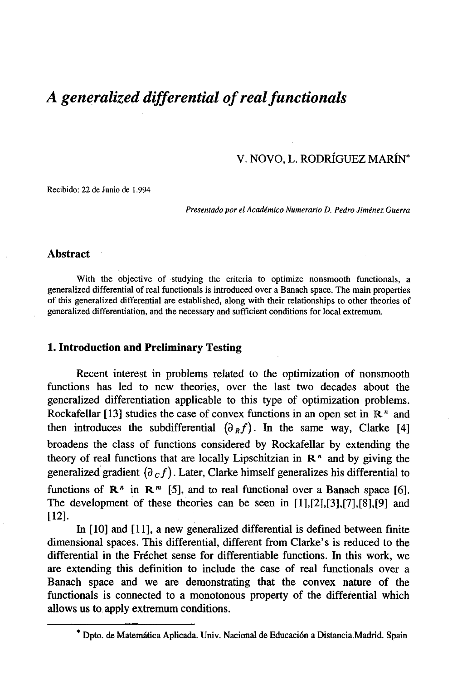# *A generalized differential of real functionals*

V. NOVO, L. RODRÍGUEZ MARÍN\*

Recibido: 22 de Junio de 1.994

*Presentado por el Académico Numerarlo D. Pedro Jiménez Guerra*

### **Abstract**

With the objective of studying the criteria to optimize nonsmooth functionals, a generalized differential of real functionals is introduced over a Banach space. The main properties of this generalized differential are established, along with their relationships to other theories of generalized differentiation, and the necessary and sufficient conditions for local extremum.

## **1. Introduction and Preliminary Testing**

Recent interest in problems related to the optimization of nonsmooth functions has led to new theories, over the last two decades about the generalized differentiation applicable to this type of optimization problems. Rockafellar [13] studies the case of convex functions in an open set in  $\mathbb{R}^n$  and then introduces the subdifferential  $(\partial_R f)$ . In the same way, Clarke [4] broadens the class of functions considered by Rockafellar by extending the theory of real functions that are locally Lipschitzian in  $\mathbb{R}^n$  and by giving the generalized gradient  $(\partial_c f)$ . Later, Clarke himself generalizes his differential to functions of  $\mathbb{R}^n$  in  $\mathbb{R}^m$  [5], and to real functional over a Banach space [6]. The development of these theories can be seen in [1],[2],[3],[7],[8],[9] and [12].

In [10] and [11], a new generalized differential is defined between finite dimensional spaces. This differential, different from Clarke's is reduced to the differential in the Fréchet sense for differentiable functions. In this work, we are extending this definition to include the case of real functionals over a Banach space and we are demonstrating that the convex nature of the functionals is connected to a monotonous property of the differential which allows us to apply extremum conditions.

<sup>\*</sup> Dpto. de Matemática Aplicada. Univ. Nacional de Educación a Distancia.Madrid. Spain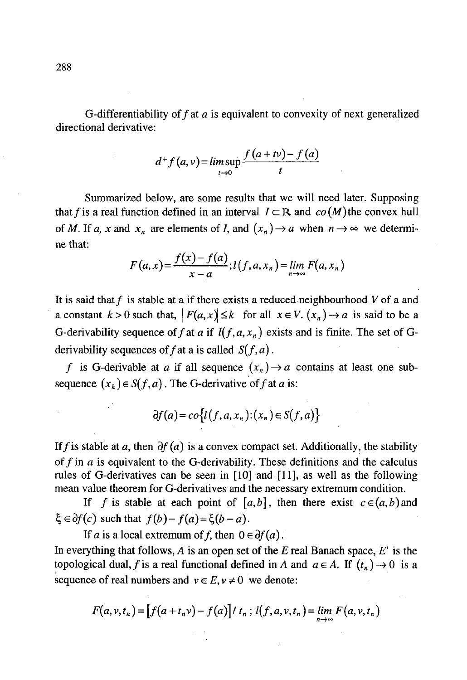G-differentiability of f at a is equivalent to convexity of next generalized directional derivative:

$$
d^+f(a,v)=\limsup_{t\to 0}\frac{f(a+tv)-f(a)}{t}
$$

Summarized below, are some results that we will need later. Supposing that f is a real function defined in an interval  $I \subset \mathbb{R}$  and  $co(M)$  the convex hull of M. If a, x and  $x_n$  are elements of I, and  $(x_n) \rightarrow a$  when  $n \rightarrow \infty$  we determine that:

$$
F(a, x) = \frac{f(x) - f(a)}{x - a}; l(f, a, x_n) = \lim_{n \to \infty} F(a, x_n)
$$

It is said that  $f$  is stable at a if there exists a reduced neighbourhood  $V$  of a and a constant  $k > 0$  such that,  $|F(a, x)| \le k$  for all  $x \in V$ .  $(x_n) \rightarrow a$  is said to be a G-derivability sequence of f at a if  $l(f, a, x_n)$  exists and is finite. The set of Gderivability sequences of f at a is called  $S(f, a)$ .

*f* is G-derivable at *a* if all sequence  $(x_n) \rightarrow a$  contains at least one subsequence  $(x_k) \in S(f, a)$ . The G-derivative of f at a is:

$$
\partial f(a) = co\big\{l(f,a,x_n) : (x_n) \in S(f,a)\big\}
$$

If f is stable at a, then  $\partial f(a)$  is a convex compact set. Additionally, the stability of  $f$  in  $a$  is equivalent to the G-derivability. These definitions and the calculus rules of G-derivatives can be seen in [10] and [11], as well as the following mean value theorem for G-derivatives and the necessary extremum condition.

If *f* is stable at each point of  $[a, b]$ , then there exist  $c \in (a, b)$  and  $\xi \in \partial f(c)$  such that  $f(b)-f(a)=\xi(b-a)$ .

If *a* is a local extremum of *f*, then  $0 \in \partial f(a)$ . In everything that follows, *A* is an open set of the *E* real Banach space, *E'* is the topological dual, f is a real functional defined in A and  $a \in A$ . If  $(t_n) \to 0$  is a sequence of real numbers and  $v \in E$ ,  $v \neq 0$  we denote:

$$
F(a, v, t_n) = [f(a + t_n v) - f(a)] / t_n ; l(f, a, v, t_n) = \lim_{n \to \infty} F(a, v, t_n)
$$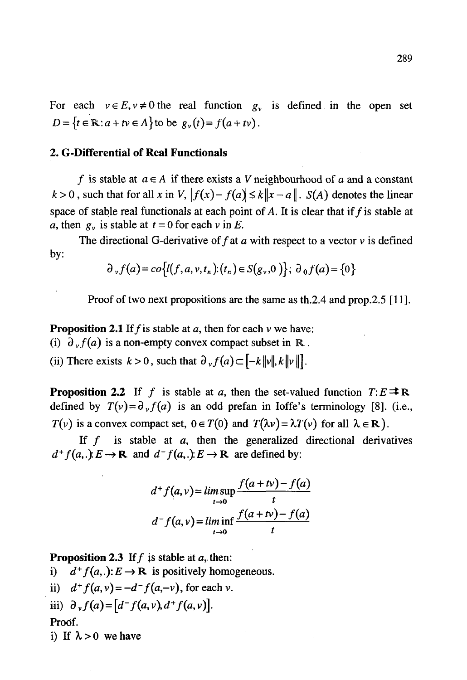For each  $v \in E$ ,  $v \neq 0$  the real function  $g_v$  is defined in the open set  $D = \{t \in \mathbb{R} : a + tv \in A\}$  to be  $g_v(t) = f(a + tv)$ .

## **2. G-Differential of Real Functionals**

f is stable at  $a \in A$  if there exists a V neighbourhood of a and a constant  $k > 0$ , such that for all x in V,  $|f(x) - f(a)| \le k||x - a||$ . S(A) denotes the linear space of stable real functionals at each point of A. It is clear that if  $f$  is stable at *a*, then  $g_v$  is stable at  $t = 0$  for each v in E.

The directional G-derivative of  $f$  at  $a$  with respect to a vector  $v$  is defined by:

$$
\partial_{\nu} f(a) = co\{l(f,a,\nu,t_n) : (t_n) \in S(g_{\nu},0)\}; \; \partial_0 f(a) = \{0\}
$$

Proof of two next propositions are the same as th.2.4 and prop.2.5 [11].

**Proposition 2.1** If  $f$  is stable at  $a$ , then for each  $v$  we have:

(i)  $\partial_y f(a)$  is a non-empty convex compact subset in R.

(ii) There exists  $k > 0$ , such that  $\partial_{\nu} f(a) \subset [-k \|\nu\|, k \|\nu\|].$ 

**Proposition 2.2** If f is stable at a, then the set-valued function  $T: E \rightrightarrows \mathbb{R}$ . defined by  $T(v) = \partial_y f(a)$  is an odd prefan in loffe's terminology [8]. (i.e.,  $T(v)$  is a convex compact set,  $0 \in T(0)$  and  $T(\lambda v) = \lambda T(v)$  for all  $\lambda \in \mathbb{R}$ ).

If  $f$  is stable at  $a$ , then the generalized directional derivatives  $d^+ f(a,.) E \to \mathbb{R}$  and  $d^- f(a,.) E \to \mathbb{R}$  are defined by:

$$
d^+ f(a, v) = \limsup_{t \to 0} \frac{f(a + tv) - f(a)}{t}
$$
  

$$
d^- f(a, v) = \liminf_{t \to 0} \frac{f(a + tv) - f(a)}{t}
$$

**Proposition 2.3** If  $f$  is stable at  $a$ , then:

i)  $d^+ f(a,.) : E \to \mathbb{R}$  is positively homogeneous.

ii)  $d^+ f(a, v) = -d^- f(a, -v)$ , for each v.

iii) 
$$
\partial_v f(a) = [d^- f(a, v), d^+ f(a, v)].
$$

Proof.

i) If  $\lambda > 0$  we have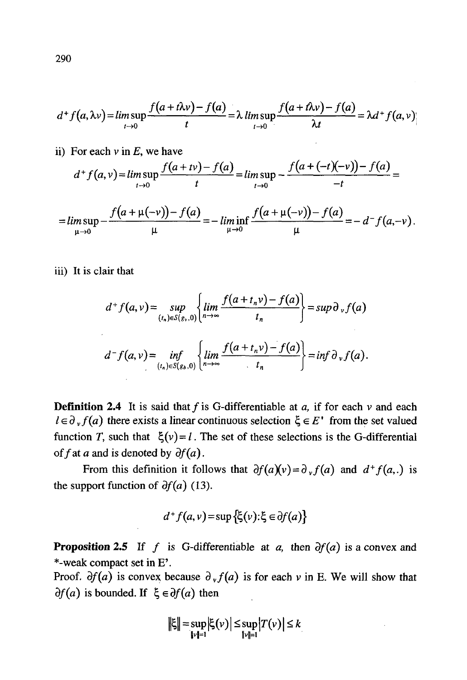$$
d^+ f(a, \lambda \nu) = \limsup_{t \to 0} \frac{f(a + t\lambda \nu) - f(a)}{t} = \lambda \limsup_{t \to 0} \frac{f(a + t\lambda \nu) - f(a)}{\lambda t} = \lambda d^+ f(a, \nu)
$$

ii) For each  $v$  in  $E$ , we have

$$
d^+ f(a,v) = \limsup_{t\to 0} \frac{f(a+tv)-f(a)}{t} = \limsup_{t\to 0} -\frac{f(a+(-t)(-v))-f(a)}{-t} =
$$

$$
= \limsup_{\mu \to 0} -\frac{f(a + \mu(-\nu)) - f(a)}{\mu} = -\liminf_{\mu \to 0} \frac{f(a + \mu(-\nu)) - f(a)}{\mu} = -d^{-}f(a, -\nu).
$$

iii) It is clair that

$$
d^+ f(a, v) = \sup_{(t_n) \in S(g_v, 0)} \left\{ \lim_{n \to \infty} \frac{f(a + t_n v) - f(a)}{t_n} \right\} = \sup \partial_v f(a)
$$

$$
d^- f(a, v) = \inf_{(t_n) \in S(g_v, 0)} \left\{ \lim_{n \to \infty} \frac{f(a + t_n v) - f(a)}{t_n} \right\} = \inf \partial_v f(a).
$$

**Definition 2.4** It is said that f is G-differentiable at a, if for each  $\nu$  and each  $l \in \partial_y f(a)$  there exists a linear continuous selection  $\xi \in E'$  from the set valued function T, such that  $\xi(v) = l$ . The set of these selections is the G-differential of f at a and is denoted by  $\partial f(a)$ .

From this definition it follows that  $\partial f(a)(v) = \partial_y f(a)$  and  $d^+ f(a,.)$  is the support function of  $\partial f(a)$  (13).

$$
d^+f(a,v) = \sup{\{\xi(v): \xi \in \partial f(a)\}}
$$

**Proposition 2.5** If f is G-differentiable at a, then  $\partial f(a)$  is a convex and \*-weak compact set in E'.

Proof.  $\partial f(a)$  is convex because  $\partial_y f(a)$  is for each v in E. We will show that  $\partial f(a)$  is bounded. If  $\xi \in \partial f(a)$  then

$$
\|\xi\| = \sup_{\|\nu\|=1} |\xi(\nu)| \le \sup_{\|\nu\|=1} |T(\nu)| \le k
$$

290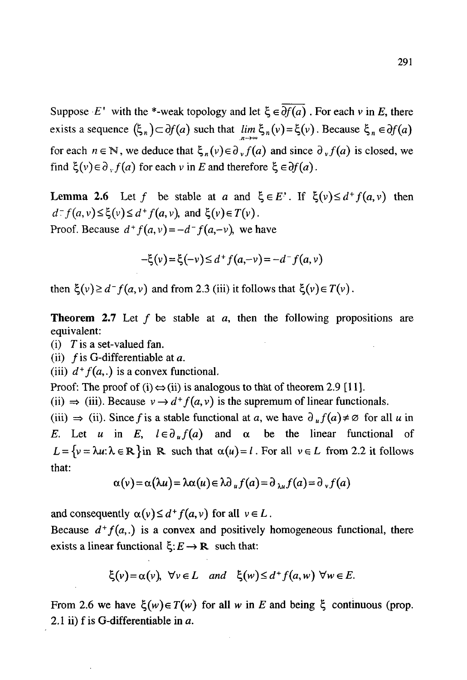Suppose *E'* with the \*-weak topology and let  $\xi \in \overline{\partial f(a)}$ . For each v in *E*, there exists a sequence  $(\xi_n) \subset \partial f(a)$  such that  $\lim_{n \to \infty} \xi_n(v) = \xi(v)$ . Because  $\xi_n \in \partial f(a)$ for each  $n \in \mathbb{N}$ , we deduce that  $\xi_n(v) \in \partial_v f(a)$  and since  $\partial_v f(a)$  is closed, we find  $\xi(v) \in \partial_y f(a)$  for each v in E and therefore  $\xi \in \partial f(a)$ .

Lemma 2.6 Let f be stable at a and  $\xi \in E'$ . If  $\xi(v) \le d^+ f(a,v)$  then  $d^- f(a, v) \le \xi(v) \le d^+ f(a, v)$ , and  $\xi(v) \in T(v)$ . Proof. Because  $d^+ f(a, v) = -d^- f(a, -v)$ , we have

$$
-\xi(v) = \xi(-v) \le d^+ f(a, -v) = -d^- f(a, v)
$$

then  $\xi(v) \ge d^-f(a, v)$  and from 2.3 (iii) it follows that  $\xi(v) \in T(v)$ .

**Theorem 2.7** Let f be stable at a, then the following propositions are equivalent:

(i) *T* is a set-valued fan.

(ii)  $f$  is G-differentiable at a.

(iii)  $d^+ f(a,.)$  is a convex functional.

Proof: The proof of (i)  $\Leftrightarrow$  (ii) is analogous to that of theorem 2.9 [11].

(ii)  $\Rightarrow$  (iii). Because  $v \rightarrow d^+ f(a, v)$  is the supremum of linear functionals.

(iii)  $\Rightarrow$  (ii). Since f is a stable functional at a, we have  $\partial_{\mu} f(a) \neq \emptyset$  for all u in *E.* Let *u* in *E*,  $l \in \partial_u f(a)$  and  $\alpha$  be the linear functional of  $L = \{v = \lambda u : \lambda \in \mathbb{R}\}$ in R such that  $\alpha(u) = l$ . For all  $v \in L$  from 2.2 it follows that:

$$
\alpha(v) = \alpha(\lambda u) = \lambda \alpha(u) \in \lambda \partial_u f(a) = \partial_{\lambda u} f(a) = \partial_v f(a)
$$

and consequently  $\alpha(v) \leq d^+ f(a, v)$  for all  $v \in L$ .

Because  $d^+ f(a,.)$  is a convex and positively homogeneous functional, there exists a linear functional  $\xi: E \to \mathbb{R}$  such that:

 $\xi(v) = \alpha(v)$ ,  $\forall v \in L$  and  $\xi(w) \le d^+ f(a, w)$   $\forall w \in E$ .

From 2.6 we have  $\xi(w) \in T(w)$  for all w in E and being  $\xi$  continuous (prop. 2.1 ii) f is G-differentiable in *a.*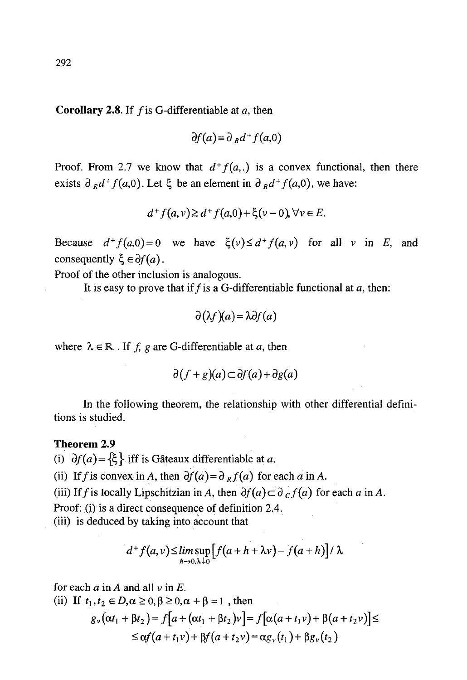**Corollary 2.8.** If f is G-differentiable at a, then

$$
\partial f(a) = \partial_R d^+ f(a,0)
$$

Proof. From 2.7 we know that  $d^+ f(a,.)$  is a convex functional, then there exists  $\partial_R d^+ f(a,0)$ . Let  $\xi$  be an element in  $\partial_R d^+ f(a,0)$ , we have

$$
d^+f(a,v) \geq d^+f(a,0) + \xi(v-0), \forall v \in E.
$$

Because  $d^+ f(a,0) = 0$  we have  $\xi(v) \le d^+ f(a,v)$  for all v in E, and consequently  $\xi \in \partial f(a)$ .

Proof of the other inclusion is analogous.

It is easy to prove that if f is a G-differentiable functional at  $a$ , then:

$$
\partial(\lambda f)(a) = \lambda \partial f(a)
$$

where  $\lambda \in \mathbb{R}$ . If f, g are G-differentiable at a, then

$$
\partial (f+g)(a) \subset \partial f(a) + \partial g(a)
$$

In the following theorem, the relationship with other differential definitions is studied.

#### **Theorem 2.9**

(i)  $\partial f(a) = {\xi}$  iff is Gâteaux differentiable at a.

(ii) If f is convex in A, then  $\partial f(a) = \partial f(a)$  for each a in A.

(iii) If f is locally Lipschitzian in A, then  $\partial f(a) \subset \partial_c f(a)$  for each a in A.

Proof: (i) is a direct consequence of definition 2.4.

(iii) is deduced by taking into account that

$$
d^+f(a,v) \leq \limsup_{h\to 0,\lambda\downarrow 0} \left[ f(a+h+\lambda v) - f(a+h) \right] / \lambda
$$

for each  $a$  in  $A$  and all  $v$  in  $E$ .

(ii) If  $t_1, t_2 \in D, \alpha \ge 0, \beta \ge 0, \alpha + \beta = 1$ , then

$$
g_{\nu}(\alpha t_1 + \beta t_2) = f[a + (\alpha t_1 + \beta t_2)\nu] = f[\alpha(a + t_1\nu) + \beta(a + t_2\nu)] \le \le \alpha f(a + t_1\nu) + \beta f(a + t_2\nu) = \alpha g_{\nu}(t_1) + \beta g_{\nu}(t_2)
$$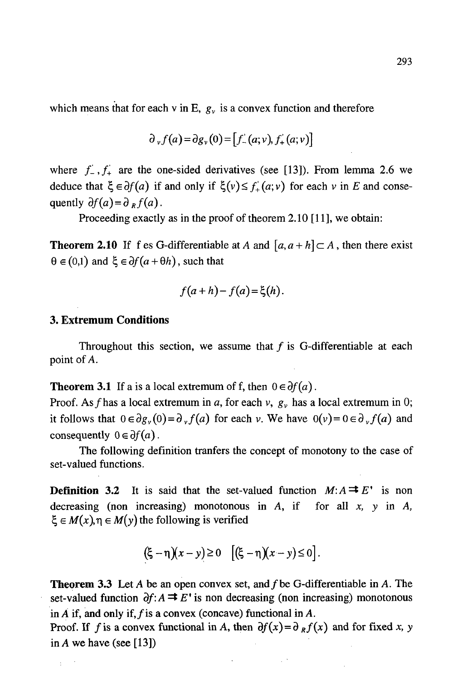which means that for each v in E,  $g_y$  is a convex function and therefore

$$
\partial_{\nu} f(a) = \partial g_{\nu}(0) = [f_{-}(a; \nu), f_{+}(a; \nu)]
$$

where  $f_{-}$ ,  $f_{+}$  are the one-sided derivatives (see [13]). From lemma 2.6 we deduce that  $\xi \in \partial f(a)$  if and only if  $\xi(v) \leq f'_{+}(a;v)$  for each v in E and consequently  $\partial f(a) = \partial g f(a)$ .

Proceeding exactly as in the proof of theorem 2.10 [11], we obtain:

**Theorem 2.10** If f es G-differentiable at A and  $[a, a+h] \subset A$ , then there exist  $\theta \in (0,1)$  and  $\xi \in \partial f(a+\theta h)$ , such that

$$
f(a+h)-f(a)=\xi(h).
$$

## **3. Extremum Conditions**

 $\pm$ 

Throughout this section, we assume that  $f$  is G-differentiable at each point of A.

**Theorem 3.1** If a is a local extremum of f, then  $0 \in \partial f(a)$ .

Proof. As f has a local extremum in a, for each v,  $g_y$  has a local extremum in 0; it follows that  $0 \in \partial g_v(0) = \partial_v f(a)$  for each v. We have  $0(v) = 0 \in \partial_v f(a)$  and consequently  $0 \in \partial f(a)$ .

The following definition tranfers the concept of monotony to the case of set-valued functions.

**Definition 3.2** It is said that the set-valued function  $M: A \rightrightarrows E'$  is non decreasing (non increasing) monotonous in *A,* if for all *x, y* in *A,*  $\xi \in M(x), \eta \in M(y)$  the following is verified

$$
(\xi - \eta)(x - y) \ge 0 \quad [(\xi - \eta)(x - y) \le 0].
$$

**Theorem 3.3** Let A be an open convex set, and  $f$  be G-differentiable in A. The set-valued function  $\partial f: A \rightrightarrows E'$  is non decreasing (non increasing) monotonous in A if, and only if,  $f$  is a convex (concave) functional in A.

Proof. If f is a convex functional in A, then  $\partial f(x) = \partial_R f(x)$  and for fixed x, y in A we have (see [13])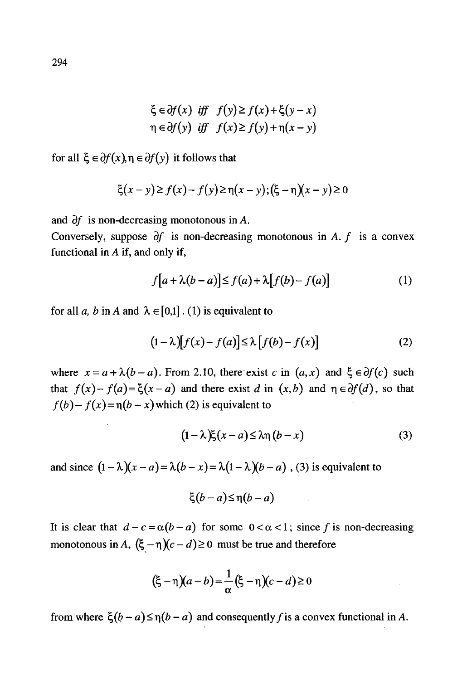$$
\xi \in \partial f(x) \quad \text{iff} \quad f(y) \ge f(x) + \xi(y - x)
$$
\n
$$
\eta \in \partial f(y) \quad \text{iff} \quad f(x) \ge f(y) + \eta(x - y)
$$

for all  $\xi \in \partial f(x), \eta \in \partial f(y)$  it follows that

$$
\xi(x - y) \ge f(x) - f(y) \ge \eta(x - y); (\xi - \eta)(x - y) \ge 0
$$

and  $\partial f$  is non-decreasing monotonous in A.

Conversely, suppose  $\partial f$  is non-decreasing monotonous in A.  $f$  is a convex functional in  $A$  if, and only if,

$$
f[a + \lambda(b-a)] \le f(a) + \lambda[f(b) - f(a)] \tag{1}
$$

for all a, b in A and  $\lambda \in [0,1]$ . (1) is equivalent to

$$
(1 - \lambda)[f(x) - f(a)] \le \lambda [f(b) - f(x)] \tag{2}
$$

where  $x = a + \lambda(b - a)$ . From 2.10, there exist c in  $(a, x)$  and  $\xi \in \partial f(c)$  such that  $f(x) - f(a) = \xi(x - a)$  and there exist d in  $(x, b)$  and  $\eta \in \partial f(d)$ , so that  $f(b) - f(x) = \eta(b - x)$  which (2) is equivalent to

$$
(1 - \lambda)\xi(x - a) \leq \lambda \eta(b - x) \tag{3}
$$

and since  $(1 - \lambda)(x - a) = \lambda(b - x) = \lambda(1 - \lambda)(b - a)$ , (3) is equivalent to

$$
\xi(b-a) \leq \eta(b-a)
$$

It is clear that  $d-c = \alpha(b-a)$  for some  $0 < \alpha < 1$ ; since f is non-decreasing monotonous in A,  $(\xi - \eta)(c - d) \ge 0$  must be true and therefore

$$
(\xi - \eta)(a - b) = \frac{1}{\alpha}(\xi - \eta)(c - d) \ge 0
$$

from where  $\xi(b-a) \leq \eta(b-a)$  and consequently f is a convex functional in A.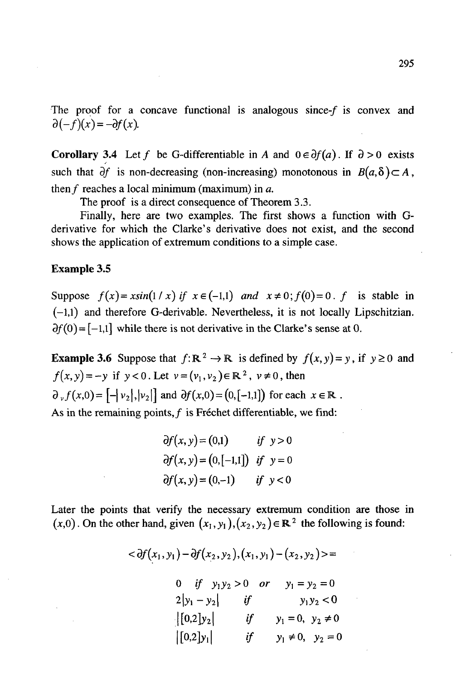The proof for a concave functional is analogous since- $f$  is convex and  $\partial(-f)(x)=-\partial f(x)$ .

**Corollary** 3.4 Let f be G-differentiable in A and  $0 \in \partial f(a)$ . If  $\partial > 0$  exists such that  $\partial f$  is non-decreasing (non-increasing) monotonous in  $B(a,\delta) \subset A$ , then  $f$  reaches a local minimum (maximum) in  $a$ .

The proof is a direct consequence of Theorem 3.3.

Finally, here are two examples. The first shows a function with Gderivative for which the Clarke's derivative does not exist, and the second shows the application of extremum conditions to a simple case.

## **Example** 3.5

Suppose  $f(x) = x \sin(1/x)$  if  $x \in (-1,1)$  and  $x \neq 0$ ;  $f(0) = 0$ . f is stable in (-1,1) and therefore G-derivable. Nevertheless, it is not locally Lipschitzian.  $\partial f(0) = [-1,1]$  while there is not derivative in the Clarke's sense at 0.

**Example 3.6** Suppose that  $f: \mathbb{R}^2 \to \mathbb{R}$  is defined by  $f(x, y) = y$ , if  $y \ge 0$  and  $f(x, y) = -y$  if  $y < 0$ . Let  $v = (v_1, v_2) \in \mathbb{R}^2$ ,  $v \neq 0$ , then  $\partial_{\nu} f(x,0) = [-|\nu_2|, |\nu_2|]$  and  $\partial f(x,0) = (0,[-1,1])$  for each  $x \in \mathbb{R}$ . As in the remaining points,  $f$  is Fréchet differentiable, we find:

$$
\partial f(x, y) = (0,1) \quad \text{if } y > 0
$$
  

$$
\partial f(x, y) = (0, [-1,1]) \quad \text{if } y = 0
$$
  

$$
\partial f(x, y) = (0,-1) \quad \text{if } y < 0
$$

Later the points that verify the necessary extremum condition are those in  $(x,0)$ . On the other hand, given  $(x_1, y_1), (x_2, y_2) \in \mathbb{R}^2$  the following is found:

$$
<\partial f(x_1,y_1)-\partial f(x_2,y_2),(x_1,y_1)-(x_2,y_2)>=
$$

0 if 
$$
y_1y_2 > 0
$$
 or  $y_1 = y_2 = 0$   
\n $2|y_1 - y_2|$  if  $y_1y_2 < 0$   
\n $\begin{vmatrix} [0,2]y_2 \end{vmatrix}$  if  $y_1 = 0, y_2 \neq 0$   
\n $\begin{vmatrix} [0,2]y_1 \end{vmatrix}$  if  $y_1 \neq 0, y_2 = 0$